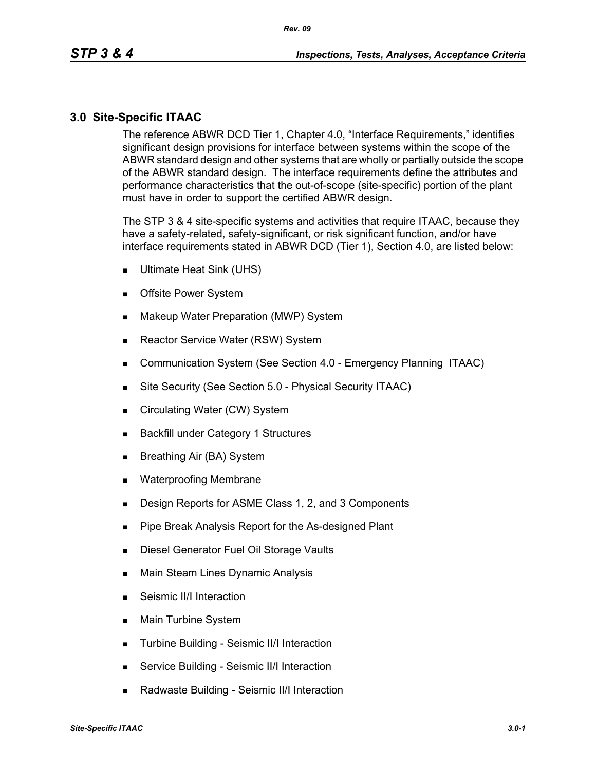### **3.0 Site-Specific ITAAC**

The reference ABWR DCD Tier 1, Chapter 4.0, "Interface Requirements," identifies significant design provisions for interface between systems within the scope of the ABWR standard design and other systems that are wholly or partially outside the scope of the ABWR standard design. The interface requirements define the attributes and performance characteristics that the out-of-scope (site-specific) portion of the plant must have in order to support the certified ABWR design.

The STP 3 & 4 site-specific systems and activities that require ITAAC, because they have a safety-related, safety-significant, or risk significant function, and/or have interface requirements stated in ABWR DCD (Tier 1), Section 4.0, are listed below:

- Ultimate Heat Sink (UHS)
- **Deta** Offsite Power System
- **Makeup Water Preparation (MWP) System**
- Reactor Service Water (RSW) System
- **Communication System (See Section 4.0 Emergency Planning ITAAC)**
- Site Security (See Section 5.0 Physical Security ITAAC)
- Circulating Water (CW) System
- **Backfill under Category 1 Structures**
- Breathing Air (BA) System
- **Net Waterproofing Membrane**
- **Design Reports for ASME Class 1, 2, and 3 Components**
- **Pipe Break Analysis Report for the As-designed Plant**
- **Diesel Generator Fuel Oil Storage Vaults**
- **Main Steam Lines Dynamic Analysis**
- Seismic II/I Interaction
- **Main Turbine System**
- **Turbine Building Seismic II/I Interaction**
- **Service Building Seismic II/I Interaction**
- Radwaste Building Seismic II/I Interaction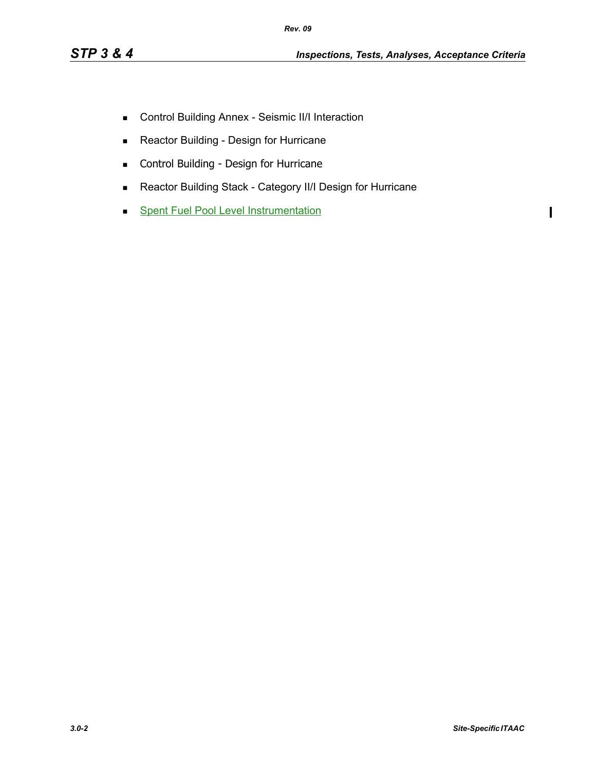- **EXECONTROL Building Annex Seismic II/I Interaction**
- **Reactor Building Design for Hurricane**
- **Control Building Design for Hurricane**
- Reactor Building Stack Category II/I Design for Hurricane
- **Spent Fuel Pool Level Instrumentation**

 $\mathbf{I}$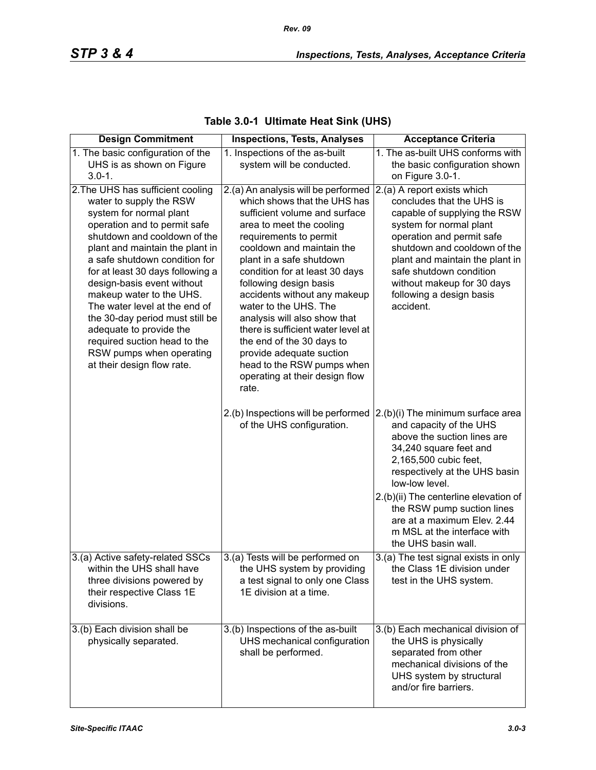| <b>Design Commitment</b>                                                                                                                                                                                                                                                                                                                                                                                                                                                                                           | <b>Inspections, Tests, Analyses</b>                                                                                                                                                                                                                                                                                                                                                                                                                                                                                                              | <b>Acceptance Criteria</b>                                                                                                                                                                                                                                                                                                                                    |
|--------------------------------------------------------------------------------------------------------------------------------------------------------------------------------------------------------------------------------------------------------------------------------------------------------------------------------------------------------------------------------------------------------------------------------------------------------------------------------------------------------------------|--------------------------------------------------------------------------------------------------------------------------------------------------------------------------------------------------------------------------------------------------------------------------------------------------------------------------------------------------------------------------------------------------------------------------------------------------------------------------------------------------------------------------------------------------|---------------------------------------------------------------------------------------------------------------------------------------------------------------------------------------------------------------------------------------------------------------------------------------------------------------------------------------------------------------|
| 1. The basic configuration of the                                                                                                                                                                                                                                                                                                                                                                                                                                                                                  | 1. Inspections of the as-built                                                                                                                                                                                                                                                                                                                                                                                                                                                                                                                   | 1. The as-built UHS conforms with                                                                                                                                                                                                                                                                                                                             |
| UHS is as shown on Figure                                                                                                                                                                                                                                                                                                                                                                                                                                                                                          | system will be conducted.                                                                                                                                                                                                                                                                                                                                                                                                                                                                                                                        | the basic configuration shown                                                                                                                                                                                                                                                                                                                                 |
| $3.0 - 1.$                                                                                                                                                                                                                                                                                                                                                                                                                                                                                                         |                                                                                                                                                                                                                                                                                                                                                                                                                                                                                                                                                  | on Figure 3.0-1.                                                                                                                                                                                                                                                                                                                                              |
| 2. The UHS has sufficient cooling<br>water to supply the RSW<br>system for normal plant<br>operation and to permit safe<br>shutdown and cooldown of the<br>plant and maintain the plant in<br>a safe shutdown condition for<br>for at least 30 days following a<br>design-basis event without<br>makeup water to the UHS.<br>The water level at the end of<br>the 30-day period must still be<br>adequate to provide the<br>required suction head to the<br>RSW pumps when operating<br>at their design flow rate. | 2.(a) An analysis will be performed<br>which shows that the UHS has<br>sufficient volume and surface<br>area to meet the cooling<br>requirements to permit<br>cooldown and maintain the<br>plant in a safe shutdown<br>condition for at least 30 days<br>following design basis<br>accidents without any makeup<br>water to the UHS. The<br>analysis will also show that<br>there is sufficient water level at<br>the end of the 30 days to<br>provide adequate suction<br>head to the RSW pumps when<br>operating at their design flow<br>rate. | $ 2($ a) A report exists which<br>concludes that the UHS is<br>capable of supplying the RSW<br>system for normal plant<br>operation and permit safe<br>shutdown and cooldown of the<br>plant and maintain the plant in<br>safe shutdown condition<br>without makeup for 30 days<br>following a design basis<br>accident.                                      |
|                                                                                                                                                                                                                                                                                                                                                                                                                                                                                                                    | 2.(b) Inspections will be performed<br>of the UHS configuration.                                                                                                                                                                                                                                                                                                                                                                                                                                                                                 | 2.(b)(i) The minimum surface area<br>and capacity of the UHS<br>above the suction lines are<br>34,240 square feet and<br>2,165,500 cubic feet,<br>respectively at the UHS basin<br>low-low level.<br>2.(b)(ii) The centerline elevation of<br>the RSW pump suction lines<br>are at a maximum Elev. 2.44<br>m MSL at the interface with<br>the UHS basin wall. |
| 3.(a) Active safety-related SSCs                                                                                                                                                                                                                                                                                                                                                                                                                                                                                   | 3.(a) Tests will be performed on                                                                                                                                                                                                                                                                                                                                                                                                                                                                                                                 | 3.(a) The test signal exists in only                                                                                                                                                                                                                                                                                                                          |
| within the UHS shall have<br>three divisions powered by<br>their respective Class 1E<br>divisions.                                                                                                                                                                                                                                                                                                                                                                                                                 | the UHS system by providing<br>a test signal to only one Class<br>1E division at a time.                                                                                                                                                                                                                                                                                                                                                                                                                                                         | the Class 1E division under<br>test in the UHS system.                                                                                                                                                                                                                                                                                                        |
| 3.(b) Each division shall be<br>physically separated.                                                                                                                                                                                                                                                                                                                                                                                                                                                              | 3.(b) Inspections of the as-built<br>UHS mechanical configuration<br>shall be performed.                                                                                                                                                                                                                                                                                                                                                                                                                                                         | 3.(b) Each mechanical division of<br>the UHS is physically<br>separated from other<br>mechanical divisions of the<br>UHS system by structural<br>and/or fire barriers.                                                                                                                                                                                        |

# **Table 3.0-1 Ultimate Heat Sink (UHS)**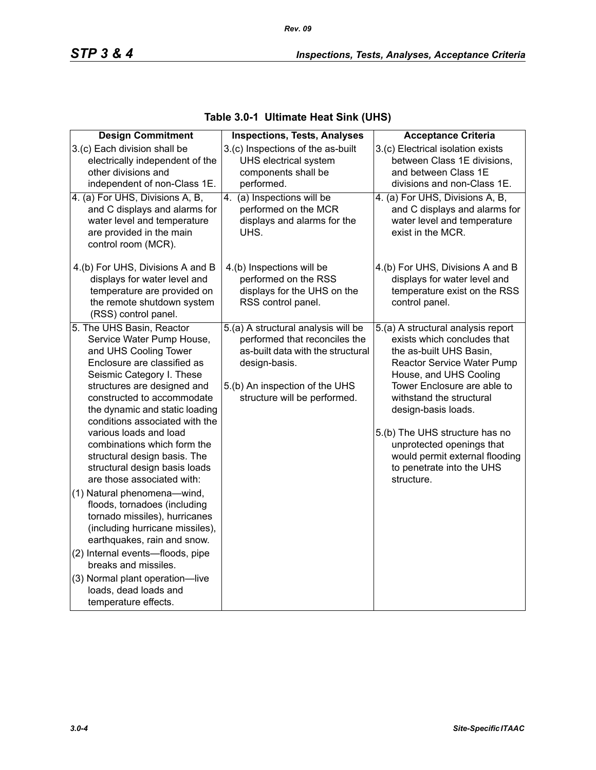| <b>Design Commitment</b>                                                                                                                                                                                                                                                                                                                                                                                                                                                                                                                                                                                                                                                                                                                               | <b>Inspections, Tests, Analyses</b>                                                                                                                                                          | <b>Acceptance Criteria</b>                                                                                                                                                                                                                                                                                                                                                         |
|--------------------------------------------------------------------------------------------------------------------------------------------------------------------------------------------------------------------------------------------------------------------------------------------------------------------------------------------------------------------------------------------------------------------------------------------------------------------------------------------------------------------------------------------------------------------------------------------------------------------------------------------------------------------------------------------------------------------------------------------------------|----------------------------------------------------------------------------------------------------------------------------------------------------------------------------------------------|------------------------------------------------------------------------------------------------------------------------------------------------------------------------------------------------------------------------------------------------------------------------------------------------------------------------------------------------------------------------------------|
| 3.(c) Each division shall be<br>electrically independent of the<br>other divisions and<br>independent of non-Class 1E.                                                                                                                                                                                                                                                                                                                                                                                                                                                                                                                                                                                                                                 | 3.(c) Inspections of the as-built<br>UHS electrical system<br>components shall be<br>performed.                                                                                              | 3.(c) Electrical isolation exists<br>between Class 1E divisions,<br>and between Class 1E<br>divisions and non-Class 1E.                                                                                                                                                                                                                                                            |
| 4. (a) For UHS, Divisions A, B,<br>and C displays and alarms for<br>water level and temperature<br>are provided in the main<br>control room (MCR).                                                                                                                                                                                                                                                                                                                                                                                                                                                                                                                                                                                                     | (a) Inspections will be<br>4.<br>performed on the MCR<br>displays and alarms for the<br>UHS.                                                                                                 | 4. (a) For UHS, Divisions A, B,<br>and C displays and alarms for<br>water level and temperature<br>exist in the MCR.                                                                                                                                                                                                                                                               |
| 4.(b) For UHS, Divisions A and B<br>displays for water level and<br>temperature are provided on<br>the remote shutdown system<br>(RSS) control panel.                                                                                                                                                                                                                                                                                                                                                                                                                                                                                                                                                                                                  | 4.(b) Inspections will be<br>performed on the RSS<br>displays for the UHS on the<br>RSS control panel.                                                                                       | 4.(b) For UHS, Divisions A and B<br>displays for water level and<br>temperature exist on the RSS<br>control panel.                                                                                                                                                                                                                                                                 |
| 5. The UHS Basin, Reactor<br>Service Water Pump House,<br>and UHS Cooling Tower<br>Enclosure are classified as<br>Seismic Category I. These<br>structures are designed and<br>constructed to accommodate<br>the dynamic and static loading<br>conditions associated with the<br>various loads and load<br>combinations which form the<br>structural design basis. The<br>structural design basis loads<br>are those associated with:<br>(1) Natural phenomena-wind,<br>floods, tornadoes (including<br>tornado missiles), hurricanes<br>(including hurricane missiles),<br>earthquakes, rain and snow.<br>(2) Internal events-floods, pipe<br>breaks and missiles.<br>(3) Normal plant operation-live<br>loads, dead loads and<br>temperature effects. | 5.(a) A structural analysis will be<br>performed that reconciles the<br>as-built data with the structural<br>design-basis.<br>5.(b) An inspection of the UHS<br>structure will be performed. | 5.(a) A structural analysis report<br>exists which concludes that<br>the as-built UHS Basin,<br>Reactor Service Water Pump<br>House, and UHS Cooling<br>Tower Enclosure are able to<br>withstand the structural<br>design-basis loads.<br>5.(b) The UHS structure has no<br>unprotected openings that<br>would permit external flooding<br>to penetrate into the UHS<br>structure. |

## **Table 3.0-1 Ultimate Heat Sink (UHS)**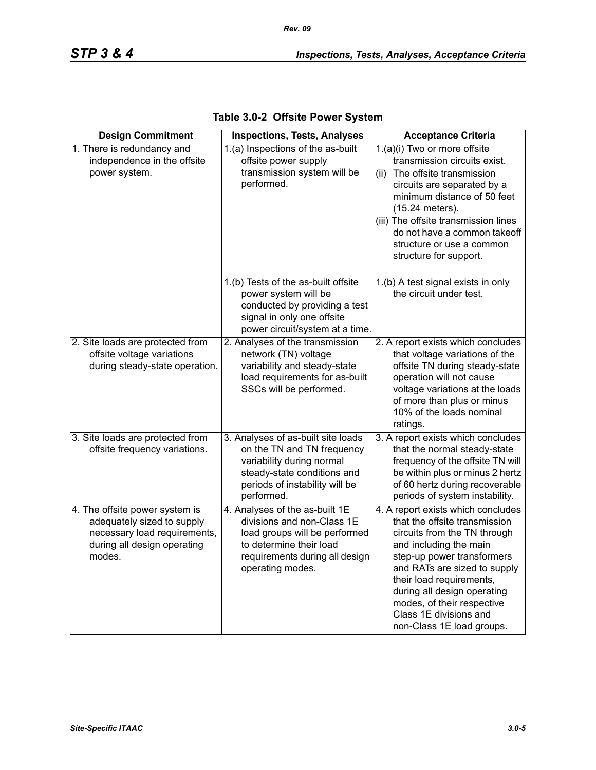| <b>Design Commitment</b>                                                                                                              | <b>Inspections, Tests, Analyses</b>                                                                                                                                            | <b>Acceptance Criteria</b>                                                                                                                                                                                                                                                                                                                  |
|---------------------------------------------------------------------------------------------------------------------------------------|--------------------------------------------------------------------------------------------------------------------------------------------------------------------------------|---------------------------------------------------------------------------------------------------------------------------------------------------------------------------------------------------------------------------------------------------------------------------------------------------------------------------------------------|
| 1. There is redundancy and<br>independence in the offsite<br>power system.                                                            | 1.(a) Inspections of the as-built<br>offsite power supply<br>transmission system will be<br>performed.                                                                         | 1.(a)(i) Two or more offsite<br>transmission circuits exist.<br>(ii) The offsite transmission<br>circuits are separated by a<br>minimum distance of 50 feet<br>(15.24 meters).<br>(iii) The offsite transmission lines<br>do not have a common takeoff<br>structure or use a common<br>structure for support.                               |
|                                                                                                                                       | 1.(b) Tests of the as-built offsite<br>power system will be<br>conducted by providing a test<br>signal in only one offsite<br>power circuit/system at a time.                  | 1.(b) A test signal exists in only<br>the circuit under test.                                                                                                                                                                                                                                                                               |
| 2. Site loads are protected from<br>offsite voltage variations<br>during steady-state operation.                                      | 2. Analyses of the transmission<br>network (TN) voltage<br>variability and steady-state<br>load requirements for as-built<br>SSCs will be performed.                           | 2. A report exists which concludes<br>that voltage variations of the<br>offsite TN during steady-state<br>operation will not cause<br>voltage variations at the loads<br>of more than plus or minus<br>10% of the loads nominal<br>ratings.                                                                                                 |
| 3. Site loads are protected from<br>offsite frequency variations.                                                                     | 3. Analyses of as-built site loads<br>on the TN and TN frequency<br>variability during normal<br>steady-state conditions and<br>periods of instability will be<br>performed.   | 3. A report exists which concludes<br>that the normal steady-state<br>frequency of the offsite TN will<br>be within plus or minus 2 hertz<br>of 60 hertz during recoverable<br>periods of system instability.                                                                                                                               |
| 4. The offsite power system is<br>adequately sized to supply<br>necessary load requirements,<br>during all design operating<br>modes. | 4. Analyses of the as-built 1E<br>divisions and non-Class 1E<br>load groups will be performed<br>to determine their load<br>requirements during all design<br>operating modes. | 4. A report exists which concludes<br>that the offsite transmission<br>circuits from the TN through<br>and including the main<br>step-up power transformers<br>and RATs are sized to supply<br>their load requirements,<br>during all design operating<br>modes, of their respective<br>Class 1E divisions and<br>non-Class 1E load groups. |

| Table 3.0-2 Offsite Power System |  |  |  |
|----------------------------------|--|--|--|
|----------------------------------|--|--|--|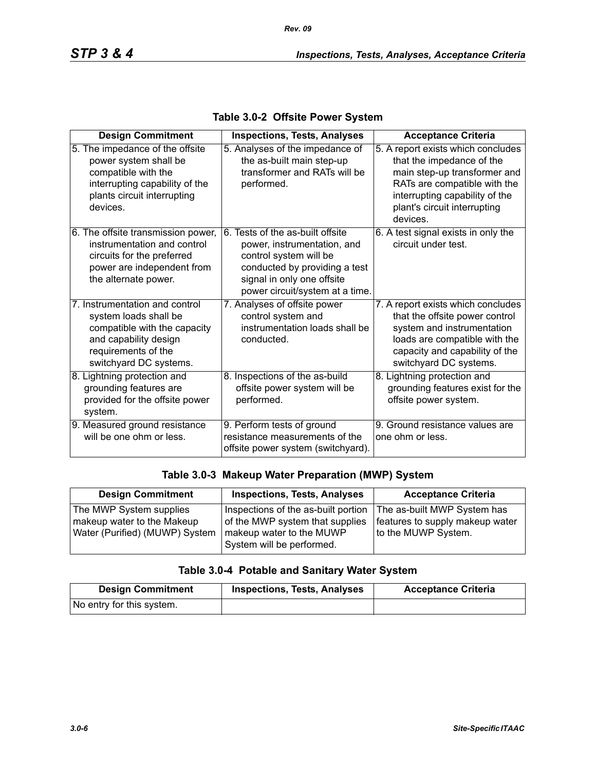| <b>Design Commitment</b>                                                                                                                                          | <b>Inspections, Tests, Analyses</b>                                                                                                                                                         | <b>Acceptance Criteria</b>                                                                                                                                                                                    |
|-------------------------------------------------------------------------------------------------------------------------------------------------------------------|---------------------------------------------------------------------------------------------------------------------------------------------------------------------------------------------|---------------------------------------------------------------------------------------------------------------------------------------------------------------------------------------------------------------|
| 5. The impedance of the offsite<br>power system shall be<br>compatible with the<br>interrupting capability of the<br>plants circuit interrupting<br>devices.      | 5. Analyses of the impedance of<br>the as-built main step-up<br>transformer and RATs will be<br>performed.                                                                                  | 5. A report exists which concludes<br>that the impedance of the<br>main step-up transformer and<br>RATs are compatible with the<br>interrupting capability of the<br>plant's circuit interrupting<br>devices. |
| 6. The offsite transmission power,<br>instrumentation and control<br>circuits for the preferred<br>power are independent from<br>the alternate power.             | 6. Tests of the as-built offsite<br>power, instrumentation, and<br>control system will be<br>conducted by providing a test<br>signal in only one offsite<br>power circuit/system at a time. | 6. A test signal exists in only the<br>circuit under test.                                                                                                                                                    |
| 7. Instrumentation and control<br>system loads shall be<br>compatible with the capacity<br>and capability design<br>requirements of the<br>switchyard DC systems. | 7. Analyses of offsite power<br>control system and<br>instrumentation loads shall be<br>conducted.                                                                                          | 7. A report exists which concludes<br>that the offsite power control<br>system and instrumentation<br>loads are compatible with the<br>capacity and capability of the<br>switchyard DC systems.               |
| 8. Lightning protection and<br>grounding features are<br>provided for the offsite power<br>system.                                                                | 8. Inspections of the as-build<br>offsite power system will be<br>performed.                                                                                                                | 8. Lightning protection and<br>grounding features exist for the<br>offsite power system.                                                                                                                      |
| 9. Measured ground resistance<br>will be one ohm or less.                                                                                                         | 9. Perform tests of ground<br>resistance measurements of the<br>offsite power system (switchyard).                                                                                          | 9. Ground resistance values are<br>one ohm or less.                                                                                                                                                           |

#### **Table 3.0-2 Offsite Power System**

#### **Table 3.0-3 Makeup Water Preparation (MWP) System**

| <b>Design Commitment</b>       | <b>Inspections, Tests, Analyses</b> | <b>Acceptance Criteria</b>      |
|--------------------------------|-------------------------------------|---------------------------------|
| The MWP System supplies        | Inspections of the as-built portion | The as-built MWP System has     |
| makeup water to the Makeup     | of the MWP system that supplies     | features to supply makeup water |
| Water (Purified) (MUWP) System | makeup water to the MUWP            | to the MUWP System.             |
|                                | System will be performed.           |                                 |

## **Table 3.0-4 Potable and Sanitary Water System**

| <b>Design Commitment</b>  | <b>Inspections, Tests, Analyses</b> | <b>Acceptance Criteria</b> |
|---------------------------|-------------------------------------|----------------------------|
| No entry for this system. |                                     |                            |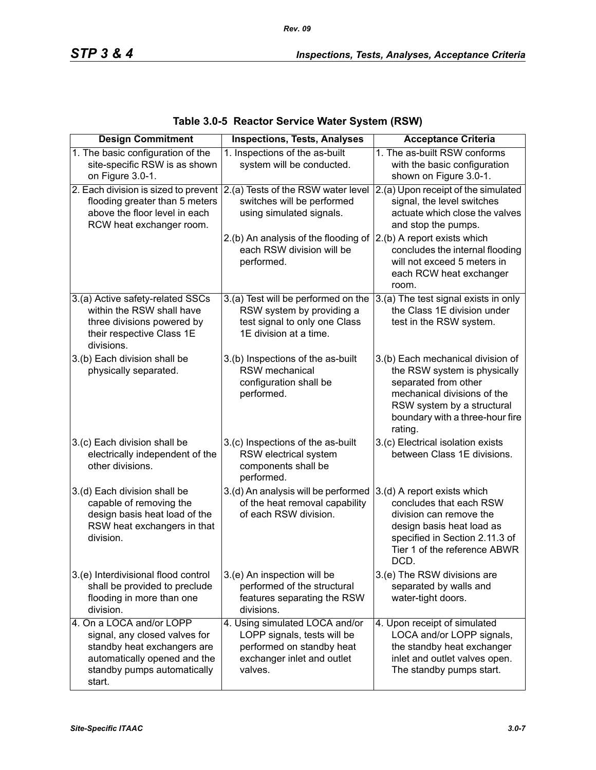*Rev. 09*

| <b>Design Commitment</b>                                                                                                                                          | <b>Inspections, Tests, Analyses</b>                                                                                                 | <b>Acceptance Criteria</b>                                                                                                                                                                           |
|-------------------------------------------------------------------------------------------------------------------------------------------------------------------|-------------------------------------------------------------------------------------------------------------------------------------|------------------------------------------------------------------------------------------------------------------------------------------------------------------------------------------------------|
| 1. The basic configuration of the<br>site-specific RSW is as shown<br>on Figure 3.0-1.                                                                            | 1. Inspections of the as-built<br>system will be conducted.                                                                         | 1. The as-built RSW conforms<br>with the basic configuration<br>shown on Figure 3.0-1.                                                                                                               |
| 2. Each division is sized to prevent<br>flooding greater than 5 meters<br>above the floor level in each<br>RCW heat exchanger room.                               | 2.(a) Tests of the RSW water level<br>switches will be performed<br>using simulated signals.                                        | 2.(a) Upon receipt of the simulated<br>signal, the level switches<br>actuate which close the valves<br>and stop the pumps.                                                                           |
|                                                                                                                                                                   | 2.(b) An analysis of the flooding of<br>each RSW division will be<br>performed.                                                     | 2.(b) A report exists which<br>concludes the internal flooding<br>will not exceed 5 meters in<br>each RCW heat exchanger<br>room.                                                                    |
| 3.(a) Active safety-related SSCs<br>within the RSW shall have<br>three divisions powered by<br>their respective Class 1E<br>divisions.                            | 3.(a) Test will be performed on the<br>RSW system by providing a<br>test signal to only one Class<br>1E division at a time.         | 3.(a) The test signal exists in only<br>the Class 1E division under<br>test in the RSW system.                                                                                                       |
| 3.(b) Each division shall be<br>physically separated.                                                                                                             | 3.(b) Inspections of the as-built<br>RSW mechanical<br>configuration shall be<br>performed.                                         | 3.(b) Each mechanical division of<br>the RSW system is physically<br>separated from other<br>mechanical divisions of the<br>RSW system by a structural<br>boundary with a three-hour fire<br>rating. |
| 3.(c) Each division shall be<br>electrically independent of the<br>other divisions.                                                                               | 3.(c) Inspections of the as-built<br>RSW electrical system<br>components shall be<br>performed.                                     | 3.(c) Electrical isolation exists<br>between Class 1E divisions.                                                                                                                                     |
| 3.(d) Each division shall be<br>capable of removing the<br>design basis heat load of the<br>RSW heat exchangers in that<br>division.                              | 3.(d) An analysis will be performed<br>of the heat removal capability<br>of each RSW division.                                      | 3.(d) A report exists which<br>concludes that each RSW<br>division can remove the<br>design basis heat load as<br>specified in Section 2.11.3 of<br>Tier 1 of the reference ABWR<br>DCD.             |
| 3.(e) Interdivisional flood control<br>shall be provided to preclude<br>flooding in more than one<br>division.                                                    | 3.(e) An inspection will be<br>performed of the structural<br>features separating the RSW<br>divisions.                             | 3.(e) The RSW divisions are<br>separated by walls and<br>water-tight doors.                                                                                                                          |
| 4. On a LOCA and/or LOPP<br>signal, any closed valves for<br>standby heat exchangers are<br>automatically opened and the<br>standby pumps automatically<br>start. | 4. Using simulated LOCA and/or<br>LOPP signals, tests will be<br>performed on standby heat<br>exchanger inlet and outlet<br>valves. | 4. Upon receipt of simulated<br>LOCA and/or LOPP signals,<br>the standby heat exchanger<br>inlet and outlet valves open.<br>The standby pumps start.                                                 |

# **Table 3.0-5 Reactor Service Water System (RSW)**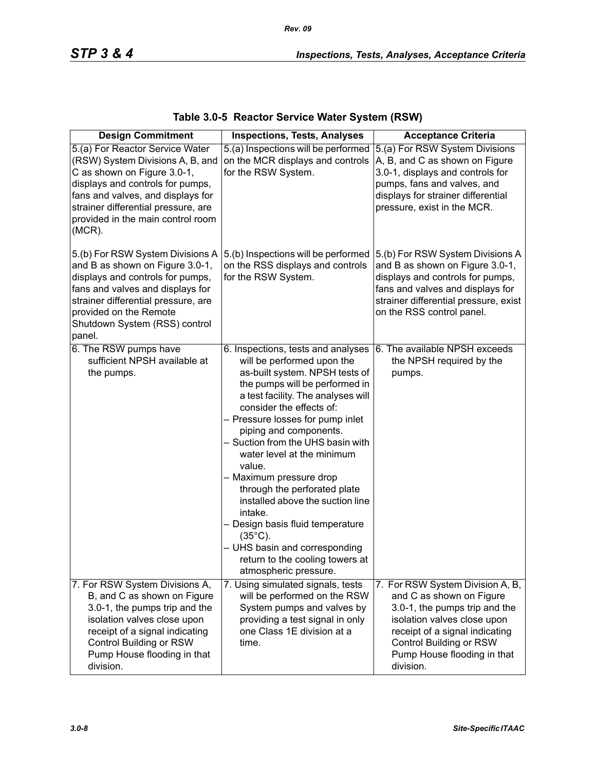| <b>Design Commitment</b>                                                                                                                                                                                                                                             | <b>Inspections, Tests, Analyses</b>                                                                                                                                                                                                                                                                                                                                                                                                                                                                                                                                                                               | <b>Acceptance Criteria</b>                                                                                                                                                                                                            |
|----------------------------------------------------------------------------------------------------------------------------------------------------------------------------------------------------------------------------------------------------------------------|-------------------------------------------------------------------------------------------------------------------------------------------------------------------------------------------------------------------------------------------------------------------------------------------------------------------------------------------------------------------------------------------------------------------------------------------------------------------------------------------------------------------------------------------------------------------------------------------------------------------|---------------------------------------------------------------------------------------------------------------------------------------------------------------------------------------------------------------------------------------|
| 5.(a) For Reactor Service Water<br>(RSW) System Divisions A, B, and<br>C as shown on Figure 3.0-1,<br>displays and controls for pumps,<br>fans and valves, and displays for<br>strainer differential pressure, are<br>provided in the main control room<br>$(MCR)$ . | 5.(a) Inspections will be performed<br>on the MCR displays and controls<br>for the RSW System.                                                                                                                                                                                                                                                                                                                                                                                                                                                                                                                    | 5.(a) For RSW System Divisions<br>A, B, and C as shown on Figure<br>3.0-1, displays and controls for<br>pumps, fans and valves, and<br>displays for strainer differential<br>pressure, exist in the MCR.                              |
| 5.(b) For RSW System Divisions A<br>and B as shown on Figure 3.0-1,<br>displays and controls for pumps,<br>fans and valves and displays for<br>strainer differential pressure, are<br>provided on the Remote<br>Shutdown System (RSS) control<br>panel.              | 5.(b) Inspections will be performed<br>on the RSS displays and controls<br>for the RSW System.                                                                                                                                                                                                                                                                                                                                                                                                                                                                                                                    | 5.(b) For RSW System Divisions A<br>and B as shown on Figure 3.0-1,<br>displays and controls for pumps,<br>fans and valves and displays for<br>strainer differential pressure, exist<br>on the RSS control panel.                     |
| 6. The RSW pumps have<br>sufficient NPSH available at<br>the pumps.                                                                                                                                                                                                  | 6. Inspections, tests and analyses<br>will be performed upon the<br>as-built system. NPSH tests of<br>the pumps will be performed in<br>a test facility. The analyses will<br>consider the effects of:<br>- Pressure losses for pump inlet<br>piping and components.<br>- Suction from the UHS basin with<br>water level at the minimum<br>value.<br>- Maximum pressure drop<br>through the perforated plate<br>installed above the suction line<br>intake.<br>- Design basis fluid temperature<br>$(35^{\circ}C)$ .<br>- UHS basin and corresponding<br>return to the cooling towers at<br>atmospheric pressure. | 6. The available NPSH exceeds<br>the NPSH required by the<br>pumps.                                                                                                                                                                   |
| 7. For RSW System Divisions A,<br>B, and C as shown on Figure<br>3.0-1, the pumps trip and the<br>isolation valves close upon<br>receipt of a signal indicating<br>Control Building or RSW<br>Pump House flooding in that<br>division.                               | 7. Using simulated signals, tests<br>will be performed on the RSW<br>System pumps and valves by<br>providing a test signal in only<br>one Class 1E division at a<br>time.                                                                                                                                                                                                                                                                                                                                                                                                                                         | 7. For RSW System Division A, B,<br>and C as shown on Figure<br>3.0-1, the pumps trip and the<br>isolation valves close upon<br>receipt of a signal indicating<br>Control Building or RSW<br>Pump House flooding in that<br>division. |

# **Table 3.0-5 Reactor Service Water System (RSW)**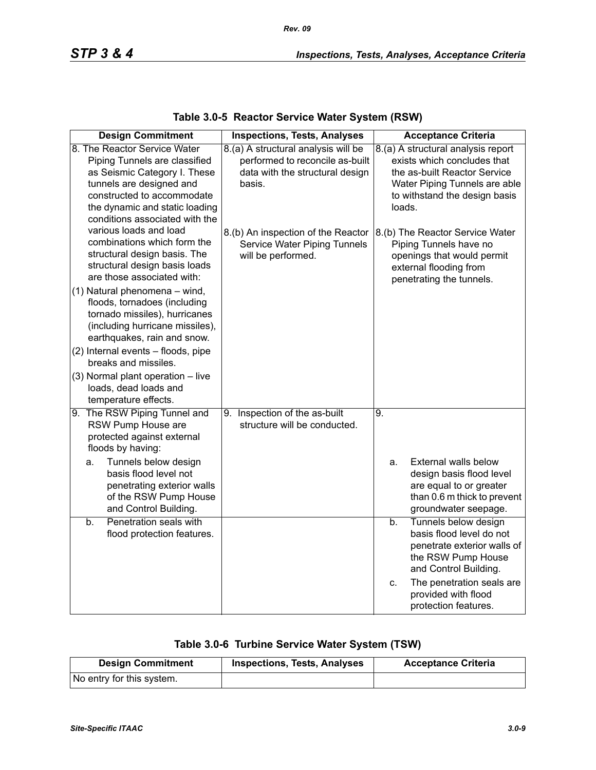| <b>Design Commitment</b>                                                                                                                                                                                                    | <b>Inspections, Tests, Analyses</b>                                                                                 | <b>Acceptance Criteria</b>                                                                                                                                                    |
|-----------------------------------------------------------------------------------------------------------------------------------------------------------------------------------------------------------------------------|---------------------------------------------------------------------------------------------------------------------|-------------------------------------------------------------------------------------------------------------------------------------------------------------------------------|
| 8. The Reactor Service Water<br>Piping Tunnels are classified<br>as Seismic Category I. These<br>tunnels are designed and<br>constructed to accommodate<br>the dynamic and static loading<br>conditions associated with the | 8.(a) A structural analysis will be<br>performed to reconcile as-built<br>data with the structural design<br>basis. | 8.(a) A structural analysis report<br>exists which concludes that<br>the as-built Reactor Service<br>Water Piping Tunnels are able<br>to withstand the design basis<br>loads. |
| various loads and load<br>combinations which form the<br>structural design basis. The<br>structural design basis loads<br>are those associated with:                                                                        | 8.(b) An inspection of the Reactor<br>Service Water Piping Tunnels<br>will be performed.                            | 8.(b) The Reactor Service Water<br>Piping Tunnels have no<br>openings that would permit<br>external flooding from<br>penetrating the tunnels.                                 |
| (1) Natural phenomena - wind,<br>floods, tornadoes (including<br>tornado missiles), hurricanes<br>(including hurricane missiles),<br>earthquakes, rain and snow.                                                            |                                                                                                                     |                                                                                                                                                                               |
| (2) Internal events - floods, pipe<br>breaks and missiles.                                                                                                                                                                  |                                                                                                                     |                                                                                                                                                                               |
| (3) Normal plant operation - live<br>loads, dead loads and<br>temperature effects.                                                                                                                                          |                                                                                                                     |                                                                                                                                                                               |
| 9. The RSW Piping Tunnel and<br>RSW Pump House are<br>protected against external<br>floods by having:                                                                                                                       | 9. Inspection of the as-built<br>structure will be conducted.                                                       | 9.                                                                                                                                                                            |
| Tunnels below design<br>a.<br>basis flood level not<br>penetrating exterior walls<br>of the RSW Pump House<br>and Control Building.                                                                                         |                                                                                                                     | External walls below<br>a.<br>design basis flood level<br>are equal to or greater<br>than 0.6 m thick to prevent<br>groundwater seepage.                                      |
| Penetration seals with<br>$b$ .<br>flood protection features.                                                                                                                                                               |                                                                                                                     | Tunnels below design<br>b.<br>basis flood level do not<br>penetrate exterior walls of<br>the RSW Pump House<br>and Control Building.                                          |
|                                                                                                                                                                                                                             |                                                                                                                     | The penetration seals are<br>C.<br>provided with flood<br>protection features.                                                                                                |

### **Table 3.0-5 Reactor Service Water System (RSW)**

# **Table 3.0-6 Turbine Service Water System (TSW)**

| <b>Design Commitment</b>  | <b>Inspections, Tests, Analyses</b> | <b>Acceptance Criteria</b> |
|---------------------------|-------------------------------------|----------------------------|
| No entry for this system. |                                     |                            |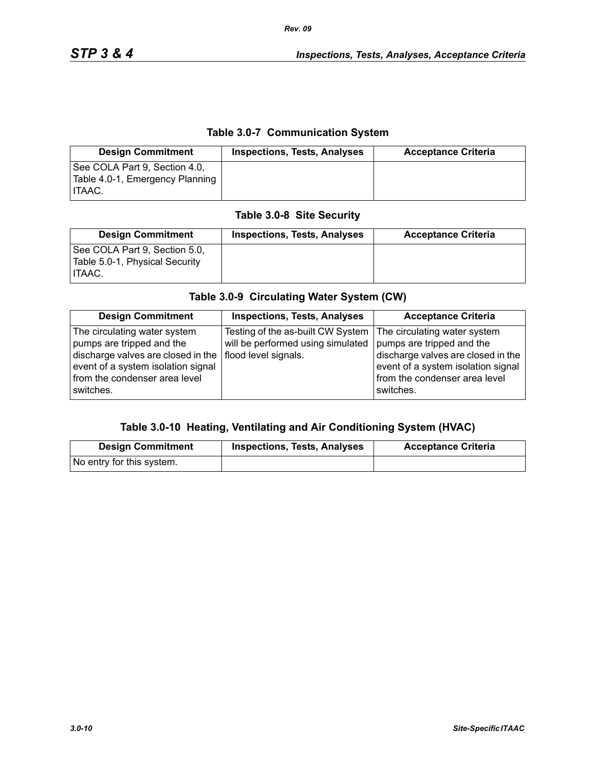### **Table 3.0-7 Communication System**

| <b>Design Commitment</b>                                                          | <b>Inspections, Tests, Analyses</b> | <b>Acceptance Criteria</b> |
|-----------------------------------------------------------------------------------|-------------------------------------|----------------------------|
| See COLA Part 9, Section 4.0,<br>Table 4.0-1, Emergency Planning<br><b>ITAAC.</b> |                                     |                            |

### **Table 3.0-8 Site Security**

| <b>Design Commitment</b>                                                  | <b>Inspections, Tests, Analyses</b> | <b>Acceptance Criteria</b> |
|---------------------------------------------------------------------------|-------------------------------------|----------------------------|
| See COLA Part 9, Section 5.0,<br>Table 5.0-1, Physical Security<br>HTAAC. |                                     |                            |

# **Table 3.0-9 Circulating Water System (CW)**

| <b>Design Commitment</b>                                                                                                                                                                                     | <b>Inspections, Tests, Analyses</b>                                    | <b>Acceptance Criteria</b>                                                                                                                                                          |
|--------------------------------------------------------------------------------------------------------------------------------------------------------------------------------------------------------------|------------------------------------------------------------------------|-------------------------------------------------------------------------------------------------------------------------------------------------------------------------------------|
| The circulating water system<br>pumps are tripped and the<br>discharge valves are closed in the $ $ flood level signals.<br>event of a system isolation signal<br>from the condenser area level<br>switches. | Testing of the as-built CW System<br>will be performed using simulated | The circulating water system<br>pumps are tripped and the<br>discharge valves are closed in the<br>event of a system isolation signal<br>from the condenser area level<br>switches. |

#### **Table 3.0-10 Heating, Ventilating and Air Conditioning System (HVAC)**

| <b>Design Commitment</b>  | <b>Inspections, Tests, Analyses</b> | <b>Acceptance Criteria</b> |
|---------------------------|-------------------------------------|----------------------------|
| No entry for this system. |                                     |                            |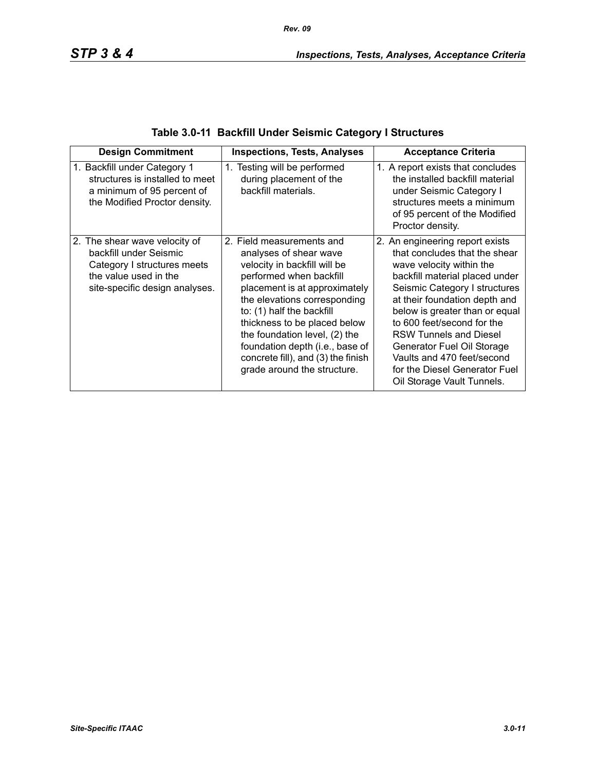|  | Table 3.0-11 Backfill Under Seismic Category I Structures |  |
|--|-----------------------------------------------------------|--|
|--|-----------------------------------------------------------|--|

| <b>Design Commitment</b>                                                                                                                          | <b>Inspections, Tests, Analyses</b>                                                                                                                                                                                                                                                                                                                                                   | <b>Acceptance Criteria</b>                                                                                                                                                                                                                                                                                                                                                                                                   |
|---------------------------------------------------------------------------------------------------------------------------------------------------|---------------------------------------------------------------------------------------------------------------------------------------------------------------------------------------------------------------------------------------------------------------------------------------------------------------------------------------------------------------------------------------|------------------------------------------------------------------------------------------------------------------------------------------------------------------------------------------------------------------------------------------------------------------------------------------------------------------------------------------------------------------------------------------------------------------------------|
| 1. Backfill under Category 1<br>structures is installed to meet<br>a minimum of 95 percent of<br>the Modified Proctor density.                    | 1. Testing will be performed<br>during placement of the<br>backfill materials.                                                                                                                                                                                                                                                                                                        | 1. A report exists that concludes<br>the installed backfill material<br>under Seismic Category I<br>structures meets a minimum<br>of 95 percent of the Modified<br>Proctor density.                                                                                                                                                                                                                                          |
| 2. The shear wave velocity of<br>backfill under Seismic<br>Category I structures meets<br>the value used in the<br>site-specific design analyses. | 2. Field measurements and<br>analyses of shear wave<br>velocity in backfill will be<br>performed when backfill<br>placement is at approximately<br>the elevations corresponding<br>to: (1) half the backfill<br>thickness to be placed below<br>the foundation level, (2) the<br>foundation depth (i.e., base of<br>concrete fill), and (3) the finish<br>grade around the structure. | 2. An engineering report exists<br>that concludes that the shear<br>wave velocity within the<br>backfill material placed under<br>Seismic Category I structures<br>at their foundation depth and<br>below is greater than or equal<br>to 600 feet/second for the<br><b>RSW Tunnels and Diesel</b><br>Generator Fuel Oil Storage<br>Vaults and 470 feet/second<br>for the Diesel Generator Fuel<br>Oil Storage Vault Tunnels. |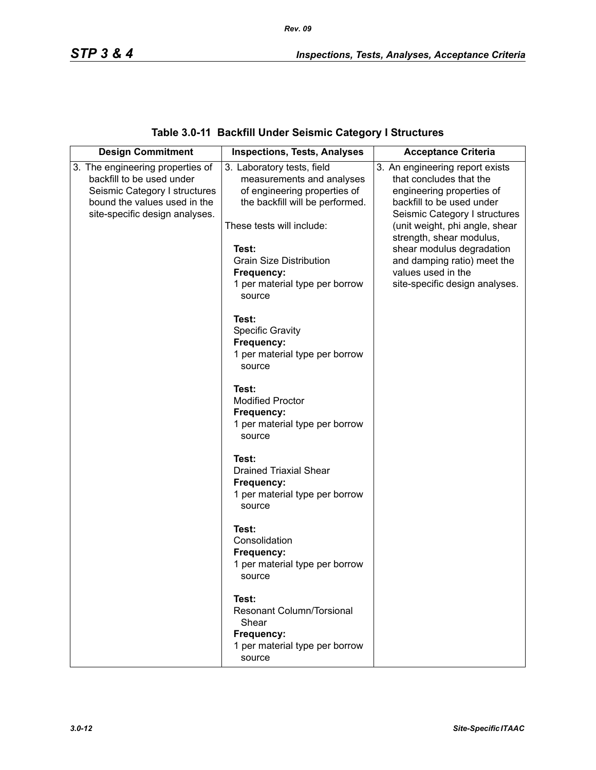# **Table 3.0-11 Backfill Under Seismic Category I Structures**

| <b>Design Commitment</b>                                      | <b>Inspections, Tests, Analyses</b>                     | <b>Acceptance Criteria</b>                                 |
|---------------------------------------------------------------|---------------------------------------------------------|------------------------------------------------------------|
| 3. The engineering properties of<br>backfill to be used under | 3. Laboratory tests, field<br>measurements and analyses | 3. An engineering report exists<br>that concludes that the |
| Seismic Category I structures                                 | of engineering properties of                            | engineering properties of                                  |
| bound the values used in the                                  | the backfill will be performed.                         | backfill to be used under                                  |
| site-specific design analyses.                                |                                                         | Seismic Category I structures                              |
|                                                               | These tests will include:                               | (unit weight, phi angle, shear<br>strength, shear modulus, |
|                                                               | Test:                                                   | shear modulus degradation                                  |
|                                                               | <b>Grain Size Distribution</b>                          | and damping ratio) meet the                                |
|                                                               | Frequency:                                              | values used in the                                         |
|                                                               | 1 per material type per borrow                          | site-specific design analyses.                             |
|                                                               | source                                                  |                                                            |
|                                                               | Test:                                                   |                                                            |
|                                                               | <b>Specific Gravity</b>                                 |                                                            |
|                                                               | Frequency:                                              |                                                            |
|                                                               | 1 per material type per borrow<br>source                |                                                            |
|                                                               |                                                         |                                                            |
|                                                               | Test:                                                   |                                                            |
|                                                               | <b>Modified Proctor</b>                                 |                                                            |
|                                                               | Frequency:<br>1 per material type per borrow            |                                                            |
|                                                               | source                                                  |                                                            |
|                                                               |                                                         |                                                            |
|                                                               | Test:<br><b>Drained Triaxial Shear</b>                  |                                                            |
|                                                               | Frequency:                                              |                                                            |
|                                                               | 1 per material type per borrow                          |                                                            |
|                                                               | source                                                  |                                                            |
|                                                               | Test:                                                   |                                                            |
|                                                               | Consolidation                                           |                                                            |
|                                                               | Frequency:                                              |                                                            |
|                                                               | 1 per material type per borrow                          |                                                            |
|                                                               | source                                                  |                                                            |
|                                                               | Test:                                                   |                                                            |
|                                                               | <b>Resonant Column/Torsional</b>                        |                                                            |
|                                                               | Shear<br>Frequency:                                     |                                                            |
|                                                               | 1 per material type per borrow                          |                                                            |
|                                                               | source                                                  |                                                            |
|                                                               |                                                         |                                                            |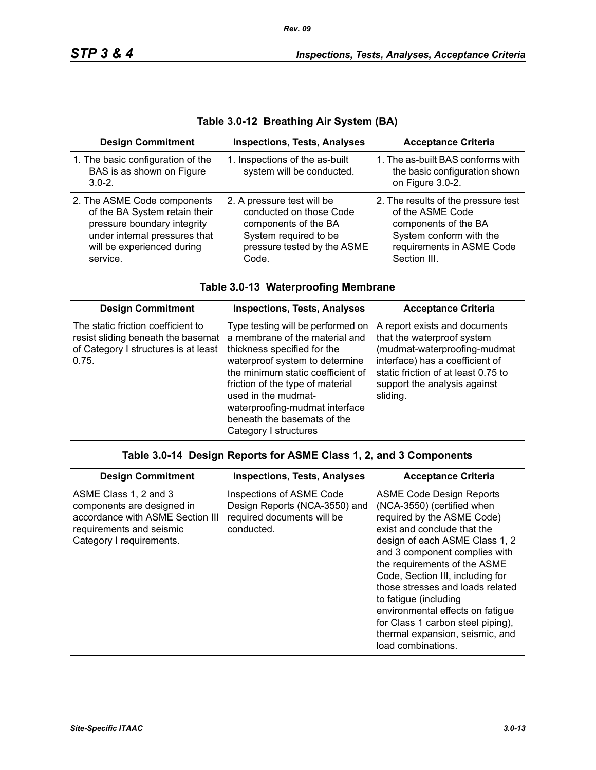| <b>Design Commitment</b>                                                                                                                                               | <b>Inspections, Tests, Analyses</b>                                                                                                            | <b>Acceptance Criteria</b>                                                                                                                              |
|------------------------------------------------------------------------------------------------------------------------------------------------------------------------|------------------------------------------------------------------------------------------------------------------------------------------------|---------------------------------------------------------------------------------------------------------------------------------------------------------|
| 1. The basic configuration of the<br>BAS is as shown on Figure<br>$3.0 - 2.$                                                                                           | 1. Inspections of the as-built<br>system will be conducted.                                                                                    | 1. The as-built BAS conforms with<br>the basic configuration shown<br>on Figure 3.0-2.                                                                  |
| 2. The ASME Code components<br>of the BA System retain their<br>pressure boundary integrity<br>under internal pressures that<br>will be experienced during<br>service. | 2. A pressure test will be<br>conducted on those Code<br>components of the BA<br>System required to be<br>pressure tested by the ASME<br>Code. | 2. The results of the pressure test<br>of the ASME Code<br>components of the BA<br>System conform with the<br>requirements in ASME Code<br>Section III. |

# **Table 3.0-12 Breathing Air System (BA)**

|  |  | Table 3.0-13 Waterproofing Membrane |
|--|--|-------------------------------------|
|  |  |                                     |

| <b>Design Commitment</b>                                                                                                  | <b>Inspections, Tests, Analyses</b>                                                                                                                                                                                                                                                                                            | <b>Acceptance Criteria</b>                                                                                                                                                                                        |
|---------------------------------------------------------------------------------------------------------------------------|--------------------------------------------------------------------------------------------------------------------------------------------------------------------------------------------------------------------------------------------------------------------------------------------------------------------------------|-------------------------------------------------------------------------------------------------------------------------------------------------------------------------------------------------------------------|
| The static friction coefficient to<br>resist sliding beneath the basemat<br>of Category I structures is at least<br>0.75. | Type testing will be performed on<br>a membrane of the material and<br>thickness specified for the<br>waterproof system to determine<br>the minimum static coefficient of<br>friction of the type of material<br>used in the mudmat-<br>waterproofing-mudmat interface<br>beneath the basemats of the<br>Category I structures | A report exists and documents<br>that the waterproof system<br>(mudmat-waterproofing-mudmat<br>interface) has a coefficient of<br>static friction of at least 0.75 to<br>support the analysis against<br>sliding. |

# **Table 3.0-14 Design Reports for ASME Class 1, 2, and 3 Components**

| <b>Design Commitment</b>                                                                                                                        | <b>Inspections, Tests, Analyses</b>                                                                   | <b>Acceptance Criteria</b>                                                                                                                                                                                                                                                                                                                                                                                                                                       |
|-------------------------------------------------------------------------------------------------------------------------------------------------|-------------------------------------------------------------------------------------------------------|------------------------------------------------------------------------------------------------------------------------------------------------------------------------------------------------------------------------------------------------------------------------------------------------------------------------------------------------------------------------------------------------------------------------------------------------------------------|
| ASME Class 1, 2 and 3<br>components are designed in<br>accordance with ASME Section III<br>requirements and seismic<br>Category I requirements. | Inspections of ASME Code<br>Design Reports (NCA-3550) and<br>required documents will be<br>conducted. | <b>ASME Code Design Reports</b><br>(NCA-3550) (certified when<br>required by the ASME Code)<br>exist and conclude that the<br>design of each ASME Class 1, 2<br>and 3 component complies with<br>the requirements of the ASME<br>Code, Section III, including for<br>those stresses and loads related<br>to fatigue (including<br>environmental effects on fatigue<br>for Class 1 carbon steel piping),<br>thermal expansion, seismic, and<br>load combinations. |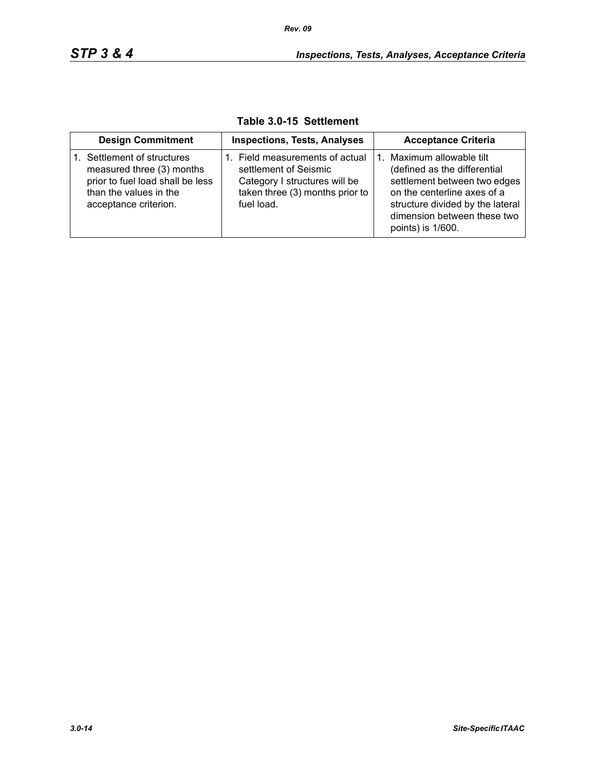| <b>Design Commitment</b>                                                                                                                        | <b>Inspections, Tests, Analyses</b>                                                                                                        | <b>Acceptance Criteria</b>                                                                                                                                                                                    |
|-------------------------------------------------------------------------------------------------------------------------------------------------|--------------------------------------------------------------------------------------------------------------------------------------------|---------------------------------------------------------------------------------------------------------------------------------------------------------------------------------------------------------------|
| 1. Settlement of structures<br>measured three (3) months<br>prior to fuel load shall be less<br>than the values in the<br>acceptance criterion. | 1. Field measurements of actual<br>settlement of Seismic<br>Category I structures will be<br>taken three (3) months prior to<br>fuel load. | Maximum allowable tilt<br>(defined as the differential<br>settlement between two edges<br>on the centerline axes of a<br>structure divided by the lateral<br>dimension between these two<br>points) is 1/600. |

**Table 3.0-15 Settlement**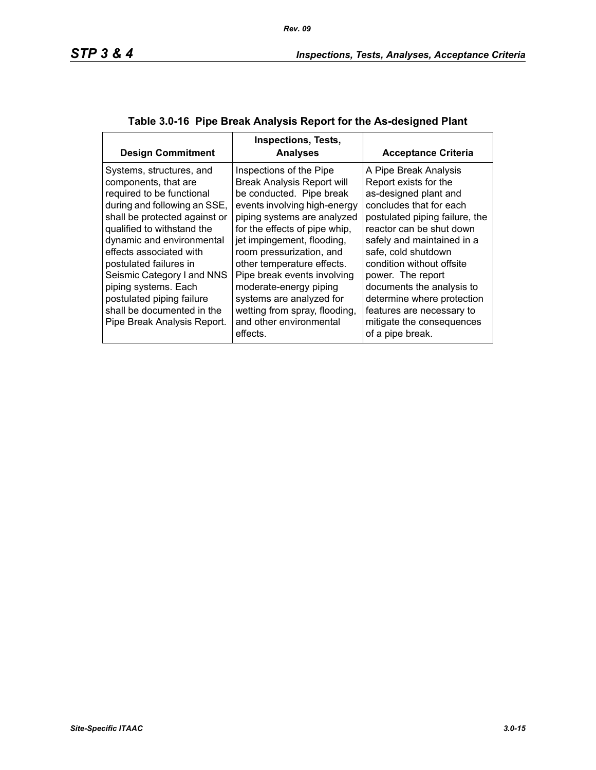| <b>Design Commitment</b>                                                                                                                                                                                                                                                                                                                                                                                       | <b>Inspections, Tests,</b><br><b>Analyses</b>                                                                                                                                                                                                                                                                                                                                                                                                 | <b>Acceptance Criteria</b>                                                                                                                                                                                                                                                                                                                                                                                       |
|----------------------------------------------------------------------------------------------------------------------------------------------------------------------------------------------------------------------------------------------------------------------------------------------------------------------------------------------------------------------------------------------------------------|-----------------------------------------------------------------------------------------------------------------------------------------------------------------------------------------------------------------------------------------------------------------------------------------------------------------------------------------------------------------------------------------------------------------------------------------------|------------------------------------------------------------------------------------------------------------------------------------------------------------------------------------------------------------------------------------------------------------------------------------------------------------------------------------------------------------------------------------------------------------------|
| Systems, structures, and<br>components, that are<br>required to be functional<br>during and following an SSE,<br>shall be protected against or<br>qualified to withstand the<br>dynamic and environmental<br>effects associated with<br>postulated failures in<br>Seismic Category I and NNS<br>piping systems. Each<br>postulated piping failure<br>shall be documented in the<br>Pipe Break Analysis Report. | Inspections of the Pipe<br><b>Break Analysis Report will</b><br>be conducted. Pipe break<br>events involving high-energy<br>piping systems are analyzed<br>for the effects of pipe whip,<br>jet impingement, flooding,<br>room pressurization, and<br>other temperature effects.<br>Pipe break events involving<br>moderate-energy piping<br>systems are analyzed for<br>wetting from spray, flooding,<br>and other environmental<br>effects. | A Pipe Break Analysis<br>Report exists for the<br>as-designed plant and<br>concludes that for each<br>postulated piping failure, the<br>reactor can be shut down<br>safely and maintained in a<br>safe, cold shutdown<br>condition without offsite<br>power. The report<br>documents the analysis to<br>determine where protection<br>features are necessary to<br>mitigate the consequences<br>of a pipe break. |

# **Table 3.0-16 Pipe Break Analysis Report for the As-designed Plant**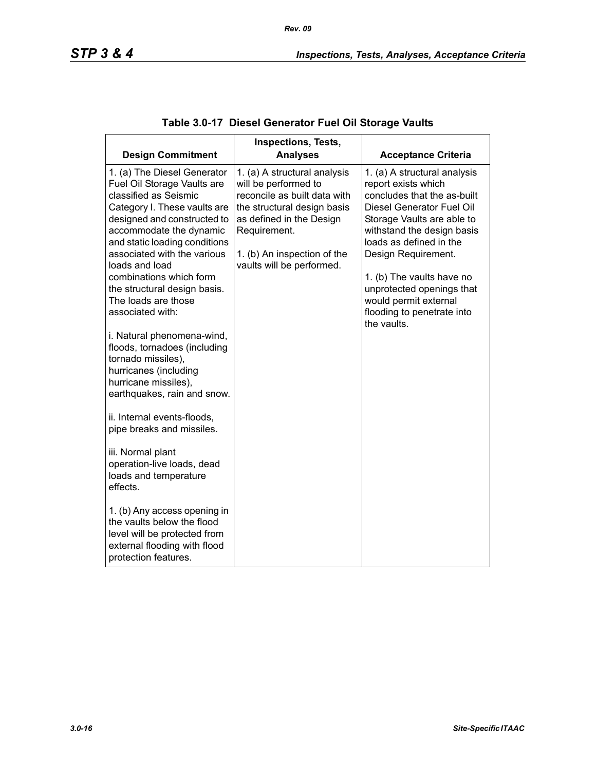| <b>Design Commitment</b>                                                                                                                                                                                                                                        | <b>Inspections, Tests,</b><br><b>Analyses</b>                                                                                                                                                                               | <b>Acceptance Criteria</b>                                                                                                                                                                                                    |
|-----------------------------------------------------------------------------------------------------------------------------------------------------------------------------------------------------------------------------------------------------------------|-----------------------------------------------------------------------------------------------------------------------------------------------------------------------------------------------------------------------------|-------------------------------------------------------------------------------------------------------------------------------------------------------------------------------------------------------------------------------|
| 1. (a) The Diesel Generator<br>Fuel Oil Storage Vaults are<br>classified as Seismic<br>Category I. These vaults are<br>designed and constructed to<br>accommodate the dynamic<br>and static loading conditions<br>associated with the various<br>loads and load | 1. (a) A structural analysis<br>will be performed to<br>reconcile as built data with<br>the structural design basis<br>as defined in the Design<br>Requirement.<br>1. (b) An inspection of the<br>vaults will be performed. | 1. (a) A structural analysis<br>report exists which<br>concludes that the as-built<br>Diesel Generator Fuel Oil<br>Storage Vaults are able to<br>withstand the design basis<br>loads as defined in the<br>Design Requirement. |
| combinations which form<br>the structural design basis.<br>The loads are those<br>associated with:                                                                                                                                                              |                                                                                                                                                                                                                             | 1. (b) The vaults have no<br>unprotected openings that<br>would permit external<br>flooding to penetrate into<br>the vaults.                                                                                                  |
| i. Natural phenomena-wind,<br>floods, tornadoes (including<br>tornado missiles),<br>hurricanes (including<br>hurricane missiles),<br>earthquakes, rain and snow.                                                                                                |                                                                                                                                                                                                                             |                                                                                                                                                                                                                               |
| ii. Internal events-floods,<br>pipe breaks and missiles.                                                                                                                                                                                                        |                                                                                                                                                                                                                             |                                                                                                                                                                                                                               |
| iii. Normal plant<br>operation-live loads, dead<br>loads and temperature<br>effects.                                                                                                                                                                            |                                                                                                                                                                                                                             |                                                                                                                                                                                                                               |
| 1. (b) Any access opening in<br>the vaults below the flood<br>level will be protected from<br>external flooding with flood<br>protection features.                                                                                                              |                                                                                                                                                                                                                             |                                                                                                                                                                                                                               |

# **Table 3.0-17 Diesel Generator Fuel Oil Storage Vaults**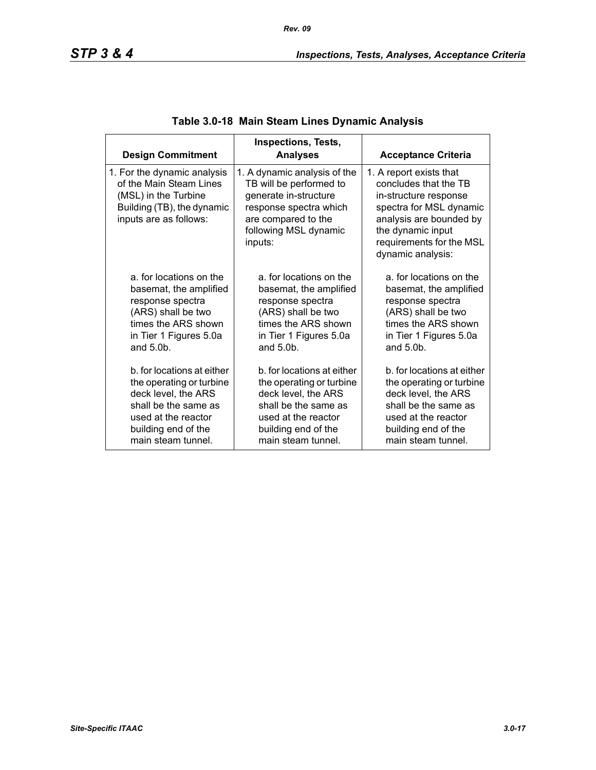| <b>Design Commitment</b>                                                                                                               | <b>Inspections, Tests,</b><br><b>Analyses</b>                                                                                                                         | <b>Acceptance Criteria</b>                                                                                                                                                                            |
|----------------------------------------------------------------------------------------------------------------------------------------|-----------------------------------------------------------------------------------------------------------------------------------------------------------------------|-------------------------------------------------------------------------------------------------------------------------------------------------------------------------------------------------------|
| 1. For the dynamic analysis<br>of the Main Steam Lines<br>(MSL) in the Turbine<br>Building (TB), the dynamic<br>inputs are as follows: | 1. A dynamic analysis of the<br>TB will be performed to<br>generate in-structure<br>response spectra which<br>are compared to the<br>following MSL dynamic<br>inputs: | 1. A report exists that<br>concludes that the TB<br>in-structure response<br>spectra for MSL dynamic<br>analysis are bounded by<br>the dynamic input<br>requirements for the MSL<br>dynamic analysis: |
| a, for locations on the                                                                                                                | a, for locations on the                                                                                                                                               | a, for locations on the                                                                                                                                                                               |
| basemat, the amplified                                                                                                                 | basemat, the amplified                                                                                                                                                | basemat, the amplified                                                                                                                                                                                |
| response spectra                                                                                                                       | response spectra                                                                                                                                                      | response spectra                                                                                                                                                                                      |
| (ARS) shall be two                                                                                                                     | (ARS) shall be two                                                                                                                                                    | (ARS) shall be two                                                                                                                                                                                    |
| times the ARS shown                                                                                                                    | times the ARS shown                                                                                                                                                   | times the ARS shown                                                                                                                                                                                   |
| in Tier 1 Figures 5.0a                                                                                                                 | in Tier 1 Figures 5.0a                                                                                                                                                | in Tier 1 Figures 5.0a                                                                                                                                                                                |
| and $5.0b$ .                                                                                                                           | and $5.0b$ .                                                                                                                                                          | and $5.0b$ .                                                                                                                                                                                          |
| b, for locations at either                                                                                                             | b, for locations at either                                                                                                                                            | b. for locations at either                                                                                                                                                                            |
| the operating or turbine                                                                                                               | the operating or turbine                                                                                                                                              | the operating or turbine                                                                                                                                                                              |
| deck level, the ARS                                                                                                                    | deck level, the ARS                                                                                                                                                   | deck level, the ARS                                                                                                                                                                                   |
| shall be the same as                                                                                                                   | shall be the same as                                                                                                                                                  | shall be the same as                                                                                                                                                                                  |
| used at the reactor                                                                                                                    | used at the reactor                                                                                                                                                   | used at the reactor                                                                                                                                                                                   |
| building end of the                                                                                                                    | building end of the                                                                                                                                                   | building end of the                                                                                                                                                                                   |
| main steam tunnel.                                                                                                                     | main steam tunnel.                                                                                                                                                    | main steam tunnel.                                                                                                                                                                                    |

# **Table 3.0-18 Main Steam Lines Dynamic Analysis**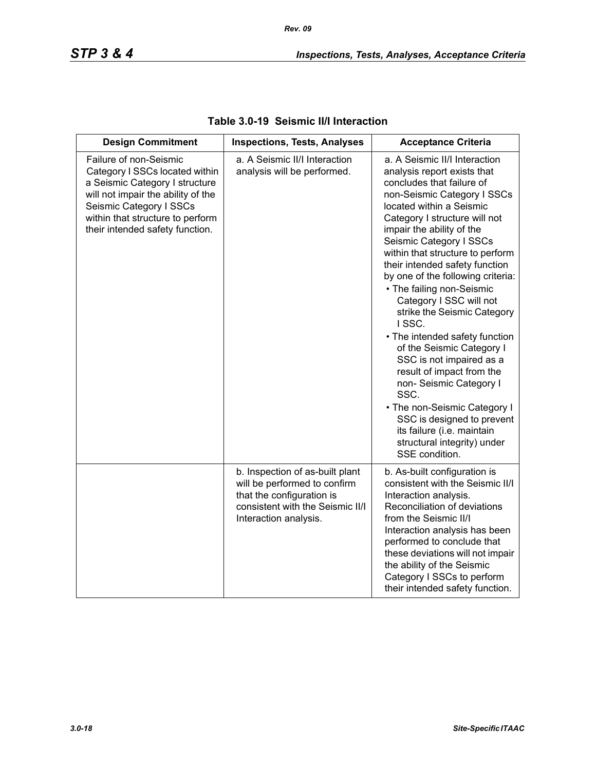| <b>Design Commitment</b>                                                                                                                                                                                                           | <b>Inspections, Tests, Analyses</b>                                                                                                                       | <b>Acceptance Criteria</b>                                                                                                                                                                                                                                                                                                                                                                                                                                                                                                                                                                                                                                                                                                                                       |  |
|------------------------------------------------------------------------------------------------------------------------------------------------------------------------------------------------------------------------------------|-----------------------------------------------------------------------------------------------------------------------------------------------------------|------------------------------------------------------------------------------------------------------------------------------------------------------------------------------------------------------------------------------------------------------------------------------------------------------------------------------------------------------------------------------------------------------------------------------------------------------------------------------------------------------------------------------------------------------------------------------------------------------------------------------------------------------------------------------------------------------------------------------------------------------------------|--|
| Failure of non-Seismic<br>Category I SSCs located within<br>a Seismic Category I structure<br>will not impair the ability of the<br>Seismic Category I SSCs<br>within that structure to perform<br>their intended safety function. | a. A Seismic II/I Interaction<br>analysis will be performed.                                                                                              | a. A Seismic II/I Interaction<br>analysis report exists that<br>concludes that failure of<br>non-Seismic Category I SSCs<br>located within a Seismic<br>Category I structure will not<br>impair the ability of the<br>Seismic Category I SSCs<br>within that structure to perform<br>their intended safety function<br>by one of the following criteria:<br>• The failing non-Seismic<br>Category I SSC will not<br>strike the Seismic Category<br>ISSC.<br>• The intended safety function<br>of the Seismic Category I<br>SSC is not impaired as a<br>result of impact from the<br>non- Seismic Category I<br>SSC.<br>• The non-Seismic Category I<br>SSC is designed to prevent<br>its failure (i.e. maintain<br>structural integrity) under<br>SSE condition. |  |
|                                                                                                                                                                                                                                    | b. Inspection of as-built plant<br>will be performed to confirm<br>that the configuration is<br>consistent with the Seismic II/I<br>Interaction analysis. | b. As-built configuration is<br>consistent with the Seismic II/I<br>Interaction analysis.<br>Reconciliation of deviations<br>from the Seismic II/I<br>Interaction analysis has been<br>performed to conclude that<br>these deviations will not impair<br>the ability of the Seismic<br>Category I SSCs to perform<br>their intended safety function.                                                                                                                                                                                                                                                                                                                                                                                                             |  |

### **Table 3.0-19 Seismic II/I Interaction**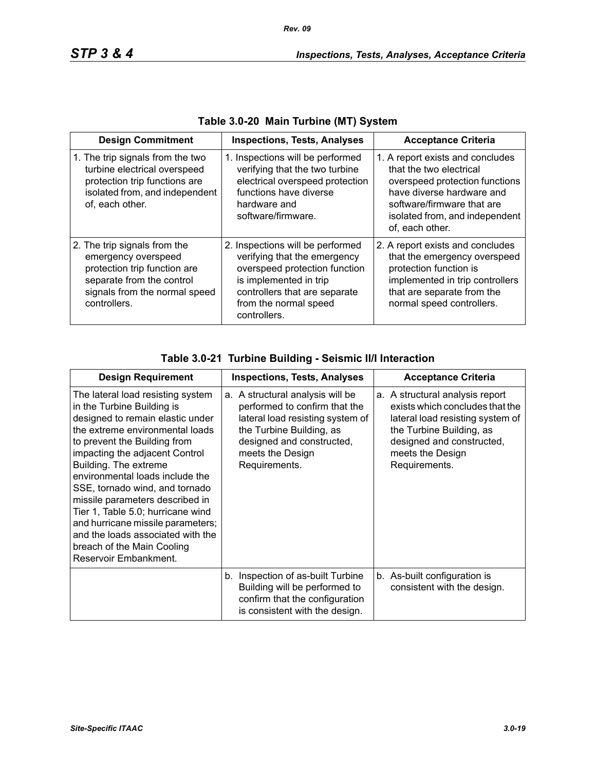| <b>Design Commitment</b>                                                                                                                                          | <b>Inspections, Tests, Analyses</b>                                                                                                                                                                   | <b>Acceptance Criteria</b>                                                                                                                                                                                    |
|-------------------------------------------------------------------------------------------------------------------------------------------------------------------|-------------------------------------------------------------------------------------------------------------------------------------------------------------------------------------------------------|---------------------------------------------------------------------------------------------------------------------------------------------------------------------------------------------------------------|
| 1. The trip signals from the two<br>turbine electrical overspeed<br>protection trip functions are<br>isolated from, and independent<br>of, each other.            | 1. Inspections will be performed<br>verifying that the two turbine<br>electrical overspeed protection<br>functions have diverse<br>hardware and<br>software/firmware.                                 | 1. A report exists and concludes<br>that the two electrical<br>overspeed protection functions<br>have diverse hardware and<br>software/firmware that are<br>isolated from, and independent<br>of, each other. |
| 2. The trip signals from the<br>emergency overspeed<br>protection trip function are<br>separate from the control<br>signals from the normal speed<br>controllers. | 2. Inspections will be performed<br>verifying that the emergency<br>overspeed protection function<br>is implemented in trip<br>controllers that are separate<br>from the normal speed<br>controllers. | 2. A report exists and concludes<br>that the emergency overspeed<br>protection function is<br>implemented in trip controllers<br>that are separate from the<br>normal speed controllers.                      |

| <b>Design Requirement</b>                                                                                                                                                                                                                                                                                                                                                                                                                                                                                       | <b>Inspections, Tests, Analyses</b>                                                                                                                                                                 | <b>Acceptance Criteria</b>                                                                                                                                                                           |  |
|-----------------------------------------------------------------------------------------------------------------------------------------------------------------------------------------------------------------------------------------------------------------------------------------------------------------------------------------------------------------------------------------------------------------------------------------------------------------------------------------------------------------|-----------------------------------------------------------------------------------------------------------------------------------------------------------------------------------------------------|------------------------------------------------------------------------------------------------------------------------------------------------------------------------------------------------------|--|
| The lateral load resisting system<br>in the Turbine Building is<br>designed to remain elastic under<br>the extreme environmental loads<br>to prevent the Building from<br>impacting the adjacent Control<br>Building. The extreme<br>environmental loads include the<br>SSE, tornado wind, and tornado<br>missile parameters described in<br>Tier 1, Table 5.0; hurricane wind<br>and hurricane missile parameters;<br>and the loads associated with the<br>breach of the Main Cooling<br>Reservoir Embankment. | a. A structural analysis will be<br>performed to confirm that the<br>lateral load resisting system of<br>the Turbine Building, as<br>designed and constructed,<br>meets the Design<br>Requirements. | a. A structural analysis report<br>exists which concludes that the<br>lateral load resisting system of<br>the Turbine Building, as<br>designed and constructed,<br>meets the Design<br>Requirements. |  |
|                                                                                                                                                                                                                                                                                                                                                                                                                                                                                                                 | b. Inspection of as-built Turbine<br>Building will be performed to<br>confirm that the configuration<br>is consistent with the design.                                                              | b. As-built configuration is<br>consistent with the design.                                                                                                                                          |  |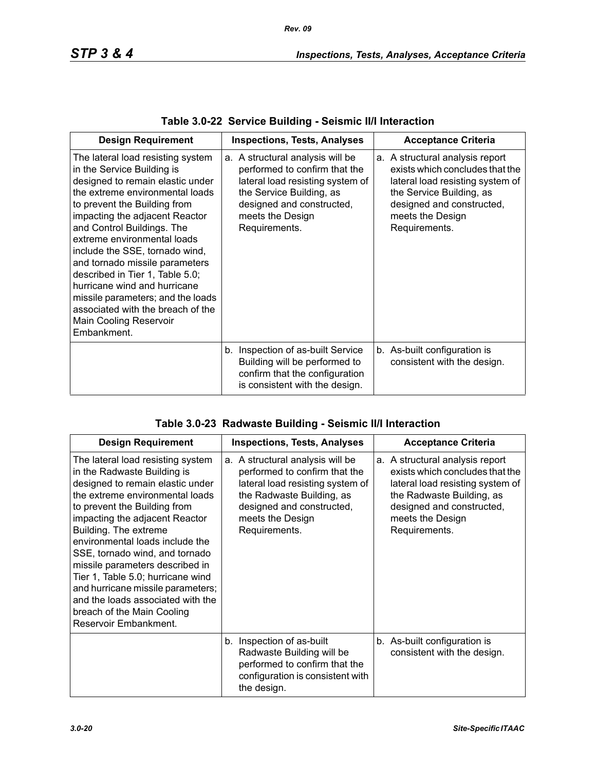| <b>Design Requirement</b>                                                                                                                                                                                                                                                                                                                                                                                                                                                                                                              | <b>Inspections, Tests, Analyses</b>                                                                                                                                                                 | <b>Acceptance Criteria</b>                                                                                                                                                                           |  |
|----------------------------------------------------------------------------------------------------------------------------------------------------------------------------------------------------------------------------------------------------------------------------------------------------------------------------------------------------------------------------------------------------------------------------------------------------------------------------------------------------------------------------------------|-----------------------------------------------------------------------------------------------------------------------------------------------------------------------------------------------------|------------------------------------------------------------------------------------------------------------------------------------------------------------------------------------------------------|--|
| The lateral load resisting system<br>in the Service Building is<br>designed to remain elastic under<br>the extreme environmental loads<br>to prevent the Building from<br>impacting the adjacent Reactor<br>and Control Buildings. The<br>extreme environmental loads<br>include the SSE, tornado wind,<br>and tornado missile parameters<br>described in Tier 1, Table 5.0;<br>hurricane wind and hurricane<br>missile parameters; and the loads<br>associated with the breach of the<br><b>Main Cooling Reservoir</b><br>Embankment. | a. A structural analysis will be<br>performed to confirm that the<br>lateral load resisting system of<br>the Service Building, as<br>designed and constructed,<br>meets the Design<br>Requirements. | a. A structural analysis report<br>exists which concludes that the<br>lateral load resisting system of<br>the Service Building, as<br>designed and constructed,<br>meets the Design<br>Requirements. |  |
|                                                                                                                                                                                                                                                                                                                                                                                                                                                                                                                                        | b. Inspection of as-built Service<br>Building will be performed to<br>confirm that the configuration<br>is consistent with the design.                                                              | b. As-built configuration is<br>consistent with the design.                                                                                                                                          |  |

### **Table 3.0-23 Radwaste Building - Seismic II/I Interaction**

| <b>Design Requirement</b>                                                                                                                                                                                                                                                                                                                                                                                                                                                                                        | <b>Inspections, Tests, Analyses</b>                                                                                                                                                                  | <b>Acceptance Criteria</b>                                                                                                                                                                            |  |
|------------------------------------------------------------------------------------------------------------------------------------------------------------------------------------------------------------------------------------------------------------------------------------------------------------------------------------------------------------------------------------------------------------------------------------------------------------------------------------------------------------------|------------------------------------------------------------------------------------------------------------------------------------------------------------------------------------------------------|-------------------------------------------------------------------------------------------------------------------------------------------------------------------------------------------------------|--|
| The lateral load resisting system<br>in the Radwaste Building is<br>designed to remain elastic under<br>the extreme environmental loads<br>to prevent the Building from<br>impacting the adjacent Reactor<br>Building. The extreme<br>environmental loads include the<br>SSE, tornado wind, and tornado<br>missile parameters described in<br>Tier 1, Table 5.0; hurricane wind<br>and hurricane missile parameters;<br>and the loads associated with the<br>breach of the Main Cooling<br>Reservoir Embankment. | a. A structural analysis will be<br>performed to confirm that the<br>lateral load resisting system of<br>the Radwaste Building, as<br>designed and constructed,<br>meets the Design<br>Requirements. | a. A structural analysis report<br>exists which concludes that the<br>lateral load resisting system of<br>the Radwaste Building, as<br>designed and constructed,<br>meets the Design<br>Requirements. |  |
|                                                                                                                                                                                                                                                                                                                                                                                                                                                                                                                  | Inspection of as-built<br>b.<br>Radwaste Building will be<br>performed to confirm that the<br>configuration is consistent with<br>the design.                                                        | b. As-built configuration is<br>consistent with the design.                                                                                                                                           |  |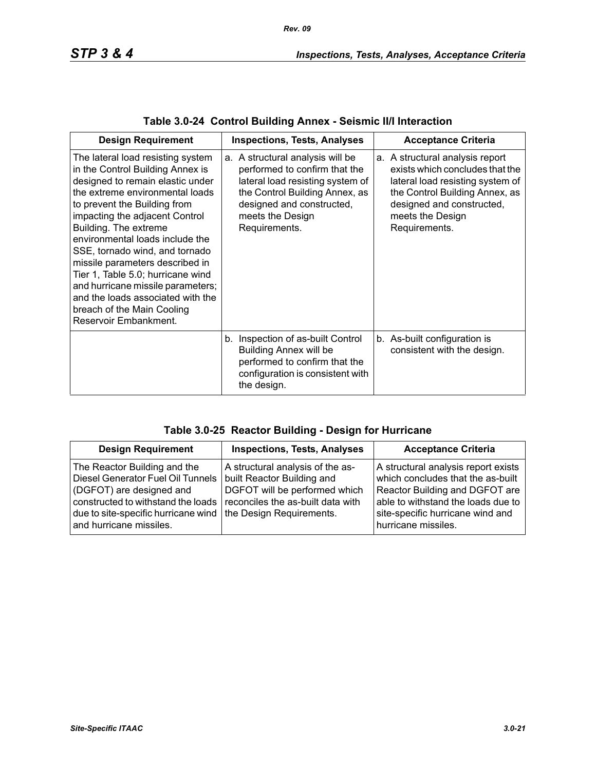| <b>Design Requirement</b>                                                                                                                                                                                                                                                                                                                                                                                                                                                                                             | <b>Inspections, Tests, Analyses</b>                                                                                                                                                                       | <b>Acceptance Criteria</b>                                                                                                                                                                                 |  |
|-----------------------------------------------------------------------------------------------------------------------------------------------------------------------------------------------------------------------------------------------------------------------------------------------------------------------------------------------------------------------------------------------------------------------------------------------------------------------------------------------------------------------|-----------------------------------------------------------------------------------------------------------------------------------------------------------------------------------------------------------|------------------------------------------------------------------------------------------------------------------------------------------------------------------------------------------------------------|--|
| The lateral load resisting system<br>in the Control Building Annex is<br>designed to remain elastic under<br>the extreme environmental loads<br>to prevent the Building from<br>impacting the adjacent Control<br>Building. The extreme<br>environmental loads include the<br>SSE, tornado wind, and tornado<br>missile parameters described in<br>Tier 1, Table 5.0; hurricane wind<br>and hurricane missile parameters;<br>and the loads associated with the<br>breach of the Main Cooling<br>Reservoir Embankment. | a. A structural analysis will be<br>performed to confirm that the<br>lateral load resisting system of<br>the Control Building Annex, as<br>designed and constructed,<br>meets the Design<br>Requirements. | a. A structural analysis report<br>exists which concludes that the<br>lateral load resisting system of<br>the Control Building Annex, as<br>designed and constructed,<br>meets the Design<br>Requirements. |  |
|                                                                                                                                                                                                                                                                                                                                                                                                                                                                                                                       | b. Inspection of as-built Control<br><b>Building Annex will be</b><br>performed to confirm that the<br>configuration is consistent with<br>the design.                                                    | b. As-built configuration is<br>consistent with the design.                                                                                                                                                |  |

|  |  | Table 3.0-24 Control Building Annex - Seismic II/I Interaction |  |  |  |
|--|--|----------------------------------------------------------------|--|--|--|
|--|--|----------------------------------------------------------------|--|--|--|

| <b>Design Requirement</b>                                                                                                                                                                                                        | <b>Inspections, Tests, Analyses</b>                                                                                                  | <b>Acceptance Criteria</b>                                                                                                                                                                                  |
|----------------------------------------------------------------------------------------------------------------------------------------------------------------------------------------------------------------------------------|--------------------------------------------------------------------------------------------------------------------------------------|-------------------------------------------------------------------------------------------------------------------------------------------------------------------------------------------------------------|
| The Reactor Building and the<br>Diesel Generator Fuel Oil Tunnels<br>(DGFOT) are designed and<br>constructed to withstand the loads<br>due to site-specific hurricane wind   the Design Requirements.<br>and hurricane missiles. | A structural analysis of the as-<br>built Reactor Building and<br>DGFOT will be performed which<br>reconciles the as-built data with | A structural analysis report exists<br>which concludes that the as-built<br>Reactor Building and DGFOT are<br>able to withstand the loads due to<br>site-specific hurricane wind and<br>hurricane missiles. |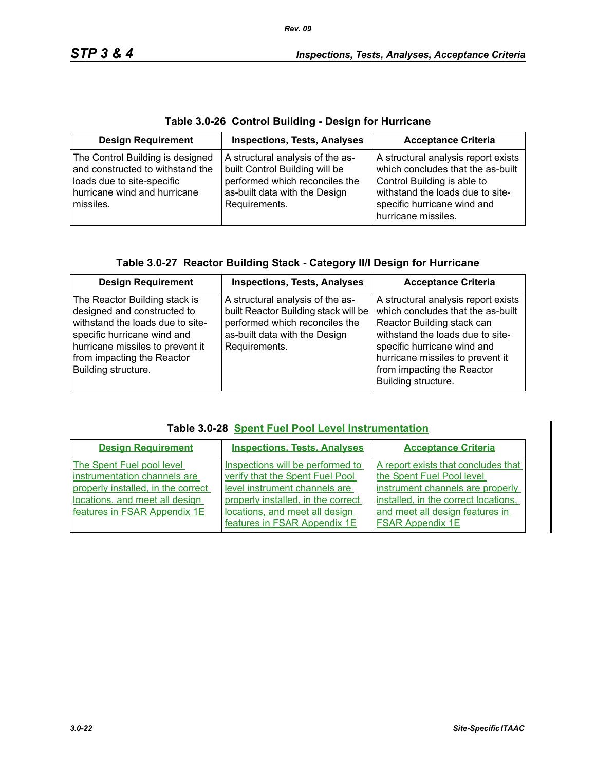|  |  | Table 3.0-26 Control Building - Design for Hurricane |
|--|--|------------------------------------------------------|
|--|--|------------------------------------------------------|

| <b>Design Requirement</b>                                                                                                                       | <b>Inspections, Tests, Analyses</b>                                                                                                                    | <b>Acceptance Criteria</b>                                                                                                                                                                        |
|-------------------------------------------------------------------------------------------------------------------------------------------------|--------------------------------------------------------------------------------------------------------------------------------------------------------|---------------------------------------------------------------------------------------------------------------------------------------------------------------------------------------------------|
| The Control Building is designed<br>and constructed to withstand the<br>loads due to site-specific<br>hurricane wind and hurricane<br>missiles. | A structural analysis of the as-<br>built Control Building will be<br>performed which reconciles the<br>as-built data with the Design<br>Requirements. | A structural analysis report exists<br>which concludes that the as-built<br>Control Building is able to<br>withstand the loads due to site-<br>specific hurricane wind and<br>hurricane missiles. |

| Table 3.0-27 Reactor Building Stack - Category II/I Design for Hurricane |  |
|--------------------------------------------------------------------------|--|
|                                                                          |  |

| <b>Design Requirement</b>                                                                                                                                                                                                | <b>Inspections, Tests, Analyses</b>                                                                                                                          | <b>Acceptance Criteria</b>                                                                                                                                                                                                                                         |
|--------------------------------------------------------------------------------------------------------------------------------------------------------------------------------------------------------------------------|--------------------------------------------------------------------------------------------------------------------------------------------------------------|--------------------------------------------------------------------------------------------------------------------------------------------------------------------------------------------------------------------------------------------------------------------|
| The Reactor Building stack is<br>designed and constructed to<br>withstand the loads due to site-<br>specific hurricane wind and<br>hurricane missiles to prevent it<br>from impacting the Reactor<br>Building structure. | A structural analysis of the as-<br>built Reactor Building stack will be<br>performed which reconciles the<br>as-built data with the Design<br>Requirements. | A structural analysis report exists<br>which concludes that the as-built<br>Reactor Building stack can<br>withstand the loads due to site-<br>specific hurricane wind and<br>hurricane missiles to prevent it<br>from impacting the Reactor<br>Building structure. |

|  |  |  | <b>Table 3.0-28 Spent Fuel Pool Level Instrumentation</b> |
|--|--|--|-----------------------------------------------------------|
|--|--|--|-----------------------------------------------------------|

| <b>Design Requirement</b>                                                                                                                                         | <b>Inspections, Tests, Analyses</b>                                                                                                                                                                          | <b>Acceptance Criteria</b>                                                                                                                                                                                 |
|-------------------------------------------------------------------------------------------------------------------------------------------------------------------|--------------------------------------------------------------------------------------------------------------------------------------------------------------------------------------------------------------|------------------------------------------------------------------------------------------------------------------------------------------------------------------------------------------------------------|
| The Spent Fuel pool level<br>instrumentation channels are<br>properly installed, in the correct<br>locations, and meet all design<br>features in FSAR Appendix 1E | Inspections will be performed to<br>verify that the Spent Fuel Pool<br>level instrument channels are<br>properly installed, in the correct<br>locations, and meet all design<br>features in FSAR Appendix 1E | A report exists that concludes that<br>the Spent Fuel Pool level<br>instrument channels are properly<br>installed, in the correct locations,<br>and meet all design features in<br><b>FSAR Appendix 1E</b> |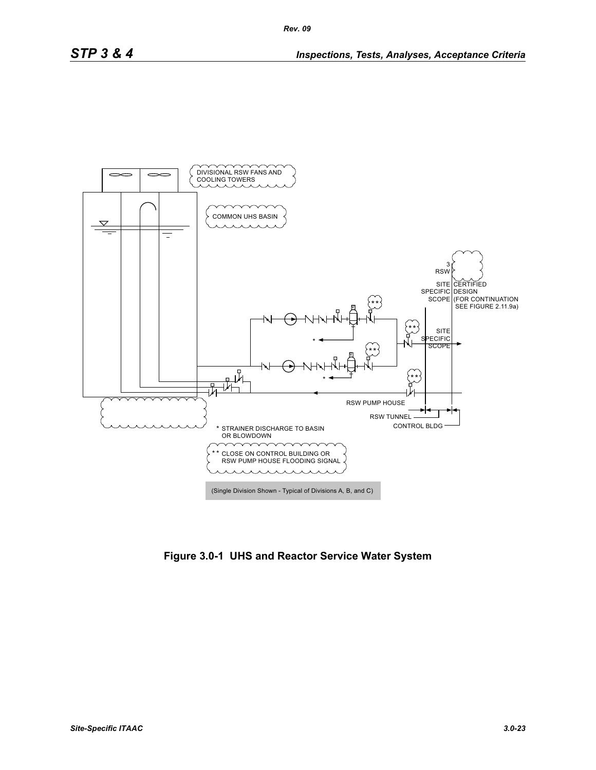

**Figure 3.0-1 UHS and Reactor Service Water System**